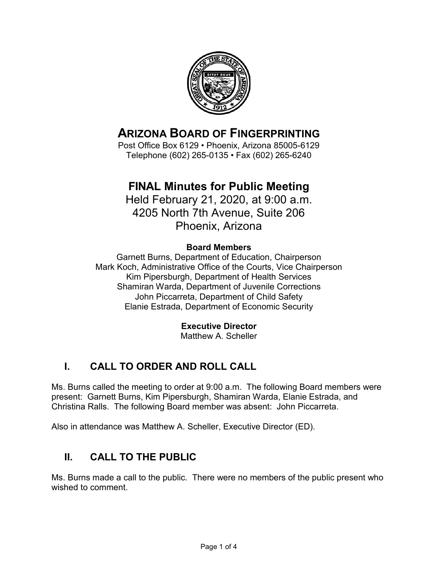

## **ARIZONA BOARD OF FINGERPRINTING**

Post Office Box 6129 • Phoenix, Arizona 85005-6129 Telephone (602) 265-0135 • Fax (602) 265-6240

## **FINAL Minutes for Public Meeting**

Held February 21, 2020, at 9:00 a.m. 4205 North 7th Avenue, Suite 206 Phoenix, Arizona

#### **Board Members**

Garnett Burns, Department of Education, Chairperson Mark Koch, Administrative Office of the Courts, Vice Chairperson Kim Pipersburgh, Department of Health Services Shamiran Warda, Department of Juvenile Corrections John Piccarreta, Department of Child Safety Elanie Estrada, Department of Economic Security

#### **Executive Director**

Matthew A. Scheller

## **I. CALL TO ORDER AND ROLL CALL**

Ms. Burns called the meeting to order at 9:00 a.m. The following Board members were present: Garnett Burns, Kim Pipersburgh, Shamiran Warda, Elanie Estrada, and Christina Ralls. The following Board member was absent: John Piccarreta.

Also in attendance was Matthew A. Scheller, Executive Director (ED).

## **II. CALL TO THE PUBLIC**

Ms. Burns made a call to the public. There were no members of the public present who wished to comment.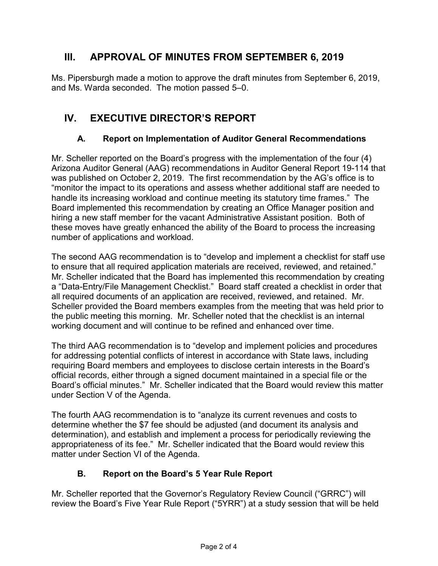### **III. APPROVAL OF MINUTES FROM SEPTEMBER 6, 2019**

Ms. Pipersburgh made a motion to approve the draft minutes from September 6, 2019, and Ms. Warda seconded. The motion passed 5–0.

## **IV. EXECUTIVE DIRECTOR'S REPORT**

#### **A. Report on Implementation of Auditor General Recommendations**

Mr. Scheller reported on the Board's progress with the implementation of the four (4) Arizona Auditor General (AAG) recommendations in Auditor General Report 19-114 that was published on October 2, 2019. The first recommendation by the AG's office is to "monitor the impact to its operations and assess whether additional staff are needed to handle its increasing workload and continue meeting its statutory time frames." The Board implemented this recommendation by creating an Office Manager position and hiring a new staff member for the vacant Administrative Assistant position. Both of these moves have greatly enhanced the ability of the Board to process the increasing number of applications and workload.

The second AAG recommendation is to "develop and implement a checklist for staff use to ensure that all required application materials are received, reviewed, and retained." Mr. Scheller indicated that the Board has implemented this recommendation by creating a "Data-Entry/File Management Checklist." Board staff created a checklist in order that all required documents of an application are received, reviewed, and retained. Mr. Scheller provided the Board members examples from the meeting that was held prior to the public meeting this morning. Mr. Scheller noted that the checklist is an internal working document and will continue to be refined and enhanced over time.

The third AAG recommendation is to "develop and implement policies and procedures for addressing potential conflicts of interest in accordance with State laws, including requiring Board members and employees to disclose certain interests in the Board's official records, either through a signed document maintained in a special file or the Board's official minutes." Mr. Scheller indicated that the Board would review this matter under Section V of the Agenda.

The fourth AAG recommendation is to "analyze its current revenues and costs to determine whether the \$7 fee should be adjusted (and document its analysis and determination), and establish and implement a process for periodically reviewing the appropriateness of its fee." Mr. Scheller indicated that the Board would review this matter under Section VI of the Agenda.

#### **B. Report on the Board's 5 Year Rule Report**

Mr. Scheller reported that the Governor's Regulatory Review Council ("GRRC") will review the Board's Five Year Rule Report ("5YRR") at a study session that will be held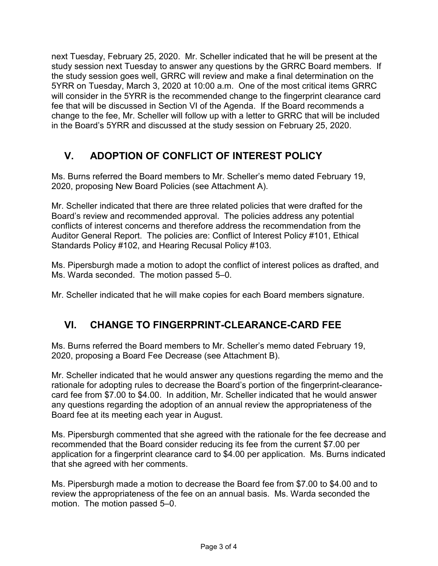next Tuesday, February 25, 2020. Mr. Scheller indicated that he will be present at the study session next Tuesday to answer any questions by the GRRC Board members. If the study session goes well, GRRC will review and make a final determination on the 5YRR on Tuesday, March 3, 2020 at 10:00 a.m. One of the most critical items GRRC will consider in the 5YRR is the recommended change to the fingerprint clearance card fee that will be discussed in Section VI of the Agenda. If the Board recommends a change to the fee, Mr. Scheller will follow up with a letter to GRRC that will be included in the Board's 5YRR and discussed at the study session on February 25, 2020.

## **V. ADOPTION OF CONFLICT OF INTEREST POLICY**

Ms. Burns referred the Board members to Mr. Scheller's memo dated February 19, 2020, proposing New Board Policies (see Attachment A).

Mr. Scheller indicated that there are three related policies that were drafted for the Board's review and recommended approval. The policies address any potential conflicts of interest concerns and therefore address the recommendation from the Auditor General Report. The policies are: Conflict of Interest Policy #101, Ethical Standards Policy #102, and Hearing Recusal Policy #103.

Ms. Pipersburgh made a motion to adopt the conflict of interest polices as drafted, and Ms. Warda seconded. The motion passed 5–0.

Mr. Scheller indicated that he will make copies for each Board members signature.

## **VI. CHANGE TO FINGERPRINT-CLEARANCE-CARD FEE**

Ms. Burns referred the Board members to Mr. Scheller's memo dated February 19, 2020, proposing a Board Fee Decrease (see Attachment B).

Mr. Scheller indicated that he would answer any questions regarding the memo and the rationale for adopting rules to decrease the Board's portion of the fingerprint-clearancecard fee from \$7.00 to \$4.00. In addition, Mr. Scheller indicated that he would answer any questions regarding the adoption of an annual review the appropriateness of the Board fee at its meeting each year in August.

Ms. Pipersburgh commented that she agreed with the rationale for the fee decrease and recommended that the Board consider reducing its fee from the current \$7.00 per application for a fingerprint clearance card to \$4.00 per application. Ms. Burns indicated that she agreed with her comments.

Ms. Pipersburgh made a motion to decrease the Board fee from \$7.00 to \$4.00 and to review the appropriateness of the fee on an annual basis. Ms. Warda seconded the motion. The motion passed 5–0.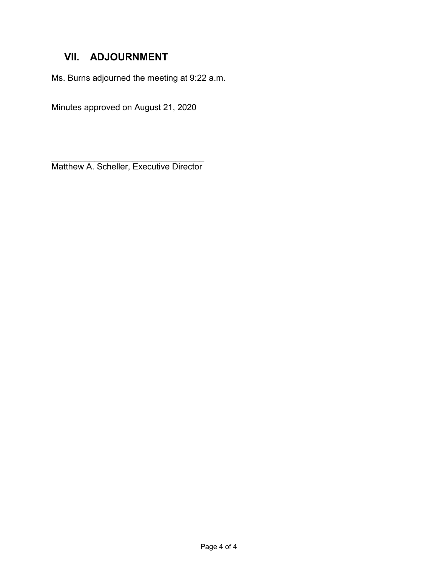## **VII. ADJOURNMENT**

Ms. Burns adjourned the meeting at 9:22 a.m.

Minutes approved on August 21, 2020

 $\overline{\phantom{a}}$  , where  $\overline{\phantom{a}}$  , where  $\overline{\phantom{a}}$  ,  $\overline{\phantom{a}}$  ,  $\overline{\phantom{a}}$  ,  $\overline{\phantom{a}}$  ,  $\overline{\phantom{a}}$  ,  $\overline{\phantom{a}}$  ,  $\overline{\phantom{a}}$  ,  $\overline{\phantom{a}}$  ,  $\overline{\phantom{a}}$  ,  $\overline{\phantom{a}}$  ,  $\overline{\phantom{a}}$  ,  $\overline{\phantom{a}}$  ,  $\overline{\phantom{a}}$  , Matthew A. Scheller, Executive Director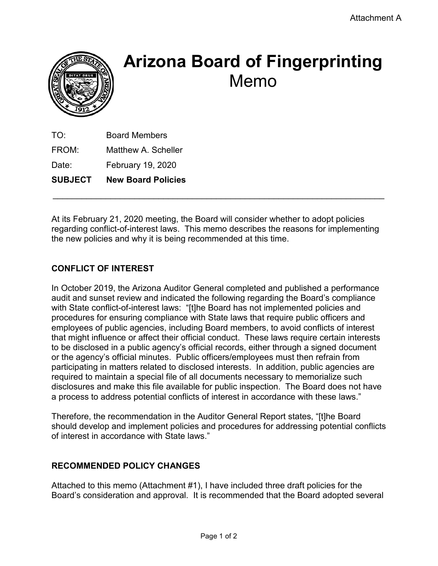

# **Arizona Board of Fingerprinting** Memo

TO: Board Members FROM: Matthew A. Scheller Date: February 19, 2020 **SUBJECT New Board Policies**

At its February 21, 2020 meeting, the Board will consider whether to adopt policies regarding conflict-of-interest laws. This memo describes the reasons for implementing the new policies and why it is being recommended at this time.

 $\_$  , and the contribution of the contribution of  $\mathcal{L}_\mathcal{A}$  , and the contribution of  $\mathcal{L}_\mathcal{A}$ 

### **CONFLICT OF INTEREST**

In October 2019, the Arizona Auditor General completed and published a performance audit and sunset review and indicated the following regarding the Board's compliance with State conflict-of-interest laws: "[t]he Board has not implemented policies and procedures for ensuring compliance with State laws that require public officers and employees of public agencies, including Board members, to avoid conflicts of interest that might influence or affect their official conduct. These laws require certain interests to be disclosed in a public agency's official records, either through a signed document or the agency's official minutes. Public officers/employees must then refrain from participating in matters related to disclosed interests. In addition, public agencies are required to maintain a special file of all documents necessary to memorialize such disclosures and make this file available for public inspection. The Board does not have a process to address potential conflicts of interest in accordance with these laws."

Therefore, the recommendation in the Auditor General Report states, "[t]he Board should develop and implement policies and procedures for addressing potential conflicts of interest in accordance with State laws."

#### **RECOMMENDED POLICY CHANGES**

Attached to this memo (Attachment #1), I have included three draft policies for the Board's consideration and approval. It is recommended that the Board adopted several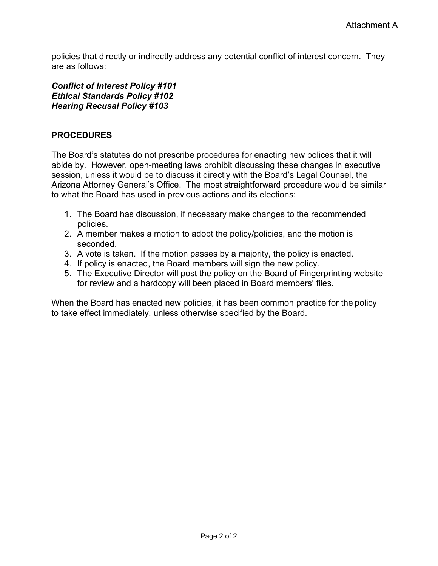policies that directly or indirectly address any potential conflict of interest concern. They are as follows:

#### *Conflict of Interest Policy #101 Ethical Standards Policy #102 Hearing Recusal Policy #103*

#### **PROCEDURES**

The Board's statutes do not prescribe procedures for enacting new polices that it will abide by. However, open-meeting laws prohibit discussing these changes in executive session, unless it would be to discuss it directly with the Board's Legal Counsel, the Arizona Attorney General's Office. The most straightforward procedure would be similar to what the Board has used in previous actions and its elections:

- 1. The Board has discussion, if necessary make changes to the recommended policies.
- 2. A member makes a motion to adopt the policy/policies, and the motion is seconded.
- 3. A vote is taken. If the motion passes by a majority, the policy is enacted.
- 4. If policy is enacted, the Board members will sign the new policy.
- 5. The Executive Director will post the policy on the Board of Fingerprinting website for review and a hardcopy will been placed in Board members' files.

When the Board has enacted new policies, it has been common practice for the policy to take effect immediately, unless otherwise specified by the Board.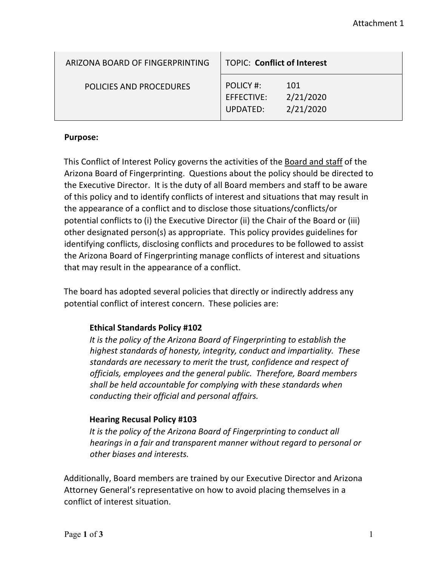| ARIZONA BOARD OF FINGERPRINTING | <b>TOPIC: Conflict of Interest</b>         |                               |
|---------------------------------|--------------------------------------------|-------------------------------|
| POLICIES AND PROCEDURES         | POLICY #:<br>EFFECTIVE:<br><b>UPDATED:</b> | 101<br>2/21/2020<br>2/21/2020 |

#### **Purpose:**

This Conflict of Interest Policy governs the activities of the Board and staff of the Arizona Board of Fingerprinting. Questions about the policy should be directed to the Executive Director. It is the duty of all Board members and staff to be aware of this policy and to identify conflicts of interest and situations that may result in the appearance of a conflict and to disclose those situations/conflicts/or potential conflicts to (i) the Executive Director (ii) the Chair of the Board or (iii) other designated person(s) as appropriate. This policy provides guidelines for identifying conflicts, disclosing conflicts and procedures to be followed to assist the Arizona Board of Fingerprinting manage conflicts of interest and situations that may result in the appearance of a conflict.

The board has adopted several policies that directly or indirectly address any potential conflict of interest concern. These policies are:

#### **Ethical Standards Policy #102**

*It is the policy of the Arizona Board of Fingerprinting to establish the highest standards of honesty, integrity, conduct and impartiality. These standards are necessary to merit the trust, confidence and respect of officials, employees and the general public. Therefore, Board members shall be held accountable for complying with these standards when conducting their official and personal affairs.*

#### **Hearing Recusal Policy #103**

*It is the policy of the Arizona Board of Fingerprinting to conduct all hearings in a fair and transparent manner without regard to personal or other biases and interests.*

Additionally, Board members are trained by our Executive Director and Arizona Attorney General's representative on how to avoid placing themselves in a conflict of interest situation.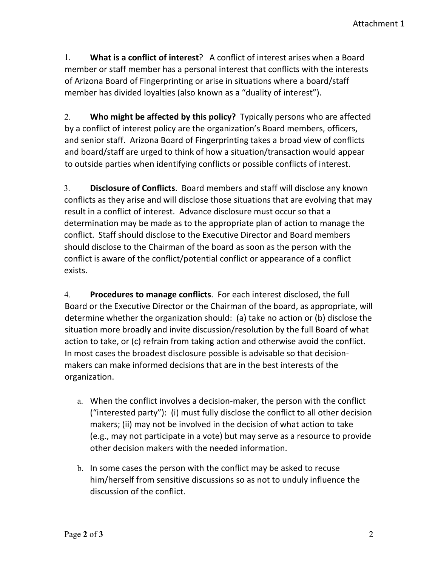1. **What is a conflict of interest**? A conflict of interest arises when a Board member or staff member has a personal interest that conflicts with the interests of Arizona Board of Fingerprinting or arise in situations where a board/staff member has divided loyalties (also known as a "duality of interest").

2. **Who might be affected by this policy?** Typically persons who are affected by a conflict of interest policy are the organization's Board members, officers, and senior staff. Arizona Board of Fingerprinting takes a broad view of conflicts and board/staff are urged to think of how a situation/transaction would appear to outside parties when identifying conflicts or possible conflicts of interest.

3. **Disclosure of Conflicts**. Board members and staff will disclose any known conflicts as they arise and will disclose those situations that are evolving that may result in a conflict of interest. Advance disclosure must occur so that a determination may be made as to the appropriate plan of action to manage the conflict. Staff should disclose to the Executive Director and Board members should disclose to the Chairman of the board as soon as the person with the conflict is aware of the conflict/potential conflict or appearance of a conflict exists.

4. **Procedures to manage conflicts**. For each interest disclosed, the full Board or the Executive Director or the Chairman of the board, as appropriate, will determine whether the organization should: (a) take no action or (b) disclose the situation more broadly and invite discussion/resolution by the full Board of what action to take, or (c) refrain from taking action and otherwise avoid the conflict. In most cases the broadest disclosure possible is advisable so that decisionmakers can make informed decisions that are in the best interests of the organization.

- a. When the conflict involves a decision-maker, the person with the conflict ("interested party"): (i) must fully disclose the conflict to all other decision makers; (ii) may not be involved in the decision of what action to take (e.g., may not participate in a vote) but may serve as a resource to provide other decision makers with the needed information.
- b. In some cases the person with the conflict may be asked to recuse him/herself from sensitive discussions so as not to unduly influence the discussion of the conflict.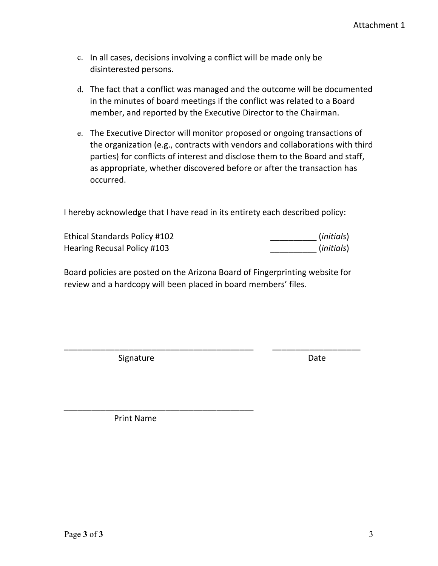- c. In all cases, decisions involving a conflict will be made only be disinterested persons.
- d. The fact that a conflict was managed and the outcome will be documented in the minutes of board meetings if the conflict was related to a Board member, and reported by the Executive Director to the Chairman.
- e. The Executive Director will monitor proposed or ongoing transactions of the organization (e.g., contracts with vendors and collaborations with third parties) for conflicts of interest and disclose them to the Board and staff, as appropriate, whether discovered before or after the transaction has occurred.

I hereby acknowledge that I have read in its entirety each described policy:

| Ethical Standards Policy #102 | (initials) |
|-------------------------------|------------|
| Hearing Recusal Policy #103   | (initials) |

Board policies are posted on the Arizona Board of Fingerprinting website for review and a hardcopy will been placed in board members' files.

\_\_\_\_\_\_\_\_\_\_\_\_\_\_\_\_\_\_\_\_\_\_\_\_\_\_\_\_\_\_\_\_\_\_\_\_\_\_\_\_\_ \_\_\_\_\_\_\_\_\_\_\_\_\_\_\_\_\_\_\_

Signature Date Date

Print Name

\_\_\_\_\_\_\_\_\_\_\_\_\_\_\_\_\_\_\_\_\_\_\_\_\_\_\_\_\_\_\_\_\_\_\_\_\_\_\_\_\_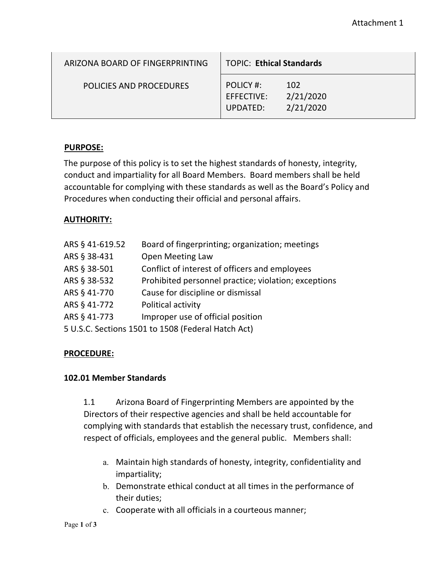| ARIZONA BOARD OF FINGERPRINTING | <b>TOPIC: Ethical Standards</b>     |                               |
|---------------------------------|-------------------------------------|-------------------------------|
| <b>POLICIES AND PROCEDURES</b>  | POLICY #:<br>EFFECTIVE:<br>UPDATED: | 102<br>2/21/2020<br>2/21/2020 |

#### **PURPOSE:**

The purpose of this policy is to set the highest standards of honesty, integrity, conduct and impartiality for all Board Members. Board members shall be held accountable for complying with these standards as well as the Board's Policy and Procedures when conducting their official and personal affairs.

#### **AUTHORITY:**

| Board of fingerprinting; organization; meetings      |  |  |
|------------------------------------------------------|--|--|
| <b>Open Meeting Law</b>                              |  |  |
| Conflict of interest of officers and employees       |  |  |
| Prohibited personnel practice; violation; exceptions |  |  |
| Cause for discipline or dismissal                    |  |  |
| Political activity                                   |  |  |
| Improper use of official position                    |  |  |
| 5 U.S.C. Sections 1501 to 1508 (Federal Hatch Act)   |  |  |
|                                                      |  |  |

#### **PROCEDURE:**

#### **102.01 Member Standards**

1.1 Arizona Board of Fingerprinting Members are appointed by the Directors of their respective agencies and shall be held accountable for complying with standards that establish the necessary trust, confidence, and respect of officials, employees and the general public. Members shall:

- a. Maintain high standards of honesty, integrity, confidentiality and impartiality;
- b. Demonstrate ethical conduct at all times in the performance of their duties;
- c. Cooperate with all officials in a courteous manner;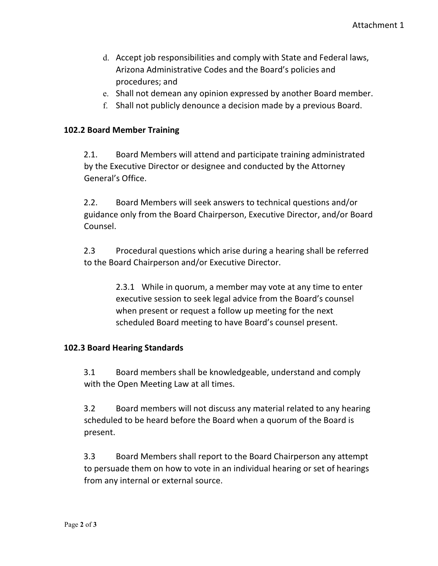- d. Accept job responsibilities and comply with State and Federal laws, Arizona Administrative Codes and the Board's policies and procedures; and
- e. Shall not demean any opinion expressed by another Board member.
- f. Shall not publicly denounce a decision made by a previous Board.

#### **102.2 Board Member Training**

2.1. Board Members will attend and participate training administrated by the Executive Director or designee and conducted by the Attorney General's Office.

2.2. Board Members will seek answers to technical questions and/or guidance only from the Board Chairperson, Executive Director, and/or Board Counsel.

2.3 Procedural questions which arise during a hearing shall be referred to the Board Chairperson and/or Executive Director.

> 2.3.1 While in quorum, a member may vote at any time to enter executive session to seek legal advice from the Board's counsel when present or request a follow up meeting for the next scheduled Board meeting to have Board's counsel present.

#### **102.3 Board Hearing Standards**

3.1 Board members shall be knowledgeable, understand and comply with the Open Meeting Law at all times.

3.2 Board members will not discuss any material related to any hearing scheduled to be heard before the Board when a quorum of the Board is present.

3.3 Board Members shall report to the Board Chairperson any attempt to persuade them on how to vote in an individual hearing or set of hearings from any internal or external source.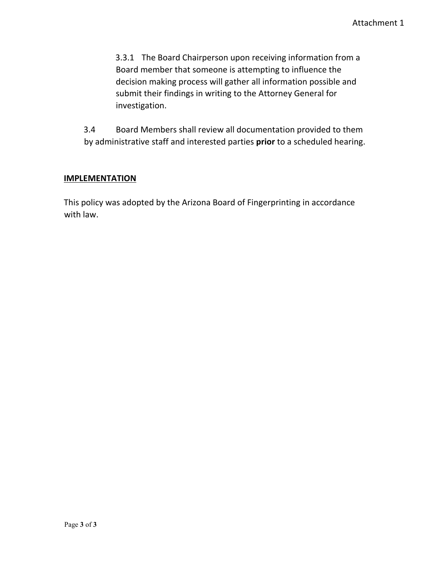3.3.1 The Board Chairperson upon receiving information from a Board member that someone is attempting to influence the decision making process will gather all information possible and submit their findings in writing to the Attorney General for investigation.

3.4 Board Members shall review all documentation provided to them by administrative staff and interested parties **prior** to a scheduled hearing.

#### **IMPLEMENTATION**

This policy was adopted by the Arizona Board of Fingerprinting in accordance with law.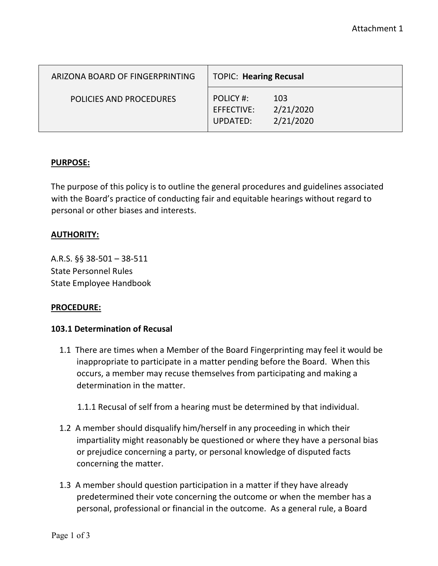| ARIZONA BOARD OF FINGERPRINTING | <b>TOPIC: Hearing Recusal</b>                                        |  |
|---------------------------------|----------------------------------------------------------------------|--|
| POLICIES AND PROCEDURES         | POLICY #:<br>103<br>2/21/2020<br>EFFECTIVE:<br>2/21/2020<br>UPDATED: |  |

#### **PURPOSE:**

The purpose of this policy is to outline the general procedures and guidelines associated with the Board's practice of conducting fair and equitable hearings without regard to personal or other biases and interests.

#### **AUTHORITY:**

A.R.S. §§ 38-501 – 38-511 State Personnel Rules State Employee Handbook

#### **PROCEDURE:**

#### **103.1 Determination of Recusal**

- 1.1 There are times when a Member of the Board Fingerprinting may feel it would be inappropriate to participate in a matter pending before the Board. When this occurs, a member may recuse themselves from participating and making a determination in the matter.
	- 1.1.1 Recusal of self from a hearing must be determined by that individual.
- 1.2 A member should disqualify him/herself in any proceeding in which their impartiality might reasonably be questioned or where they have a personal bias or prejudice concerning a party, or personal knowledge of disputed facts concerning the matter.
- 1.3 A member should question participation in a matter if they have already predetermined their vote concerning the outcome or when the member has a personal, professional or financial in the outcome. As a general rule, a Board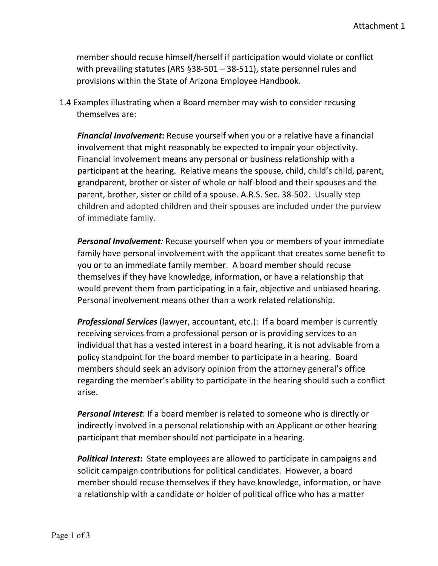member should recuse himself/herself if participation would violate or conflict with prevailing statutes (ARS §38-501 – 38-511), state personnel rules and provisions within the State of Arizona Employee Handbook.

1.4 Examples illustrating when a Board member may wish to consider recusing themselves are:

*Financial Involvement***:** Recuse yourself when you or a relative have a financial involvement that might reasonably be expected to impair your objectivity. Financial involvement means any personal or business relationship with a participant at the hearing. Relative means the spouse, child, child's child, parent, grandparent, brother or sister of whole or half-blood and their spouses and the parent, brother, sister or child of a spouse. A.R.S. Sec. 38-502. Usually step children and adopted children and their spouses are included under the purview of immediate family.

*Personal Involvement:* Recuse yourself when you or members of your immediate family have personal involvement with the applicant that creates some benefit to you or to an immediate family member. A board member should recuse themselves if they have knowledge, information, or have a relationship that would prevent them from participating in a fair, objective and unbiased hearing. Personal involvement means other than a work related relationship.

*Professional Services* (lawyer, accountant, etc.): If a board member is currently receiving services from a professional person or is providing services to an individual that has a vested interest in a board hearing, it is not advisable from a policy standpoint for the board member to participate in a hearing. Board members should seek an advisory opinion from the attorney general's office regarding the member's ability to participate in the hearing should such a conflict arise.

*Personal Interest*: If a board member is related to someone who is directly or indirectly involved in a personal relationship with an Applicant or other hearing participant that member should not participate in a hearing.

*Political Interest***:** State employees are allowed to participate in campaigns and solicit campaign contributions for political candidates. However, a board member should recuse themselves if they have knowledge, information, or have a relationship with a candidate or holder of political office who has a matter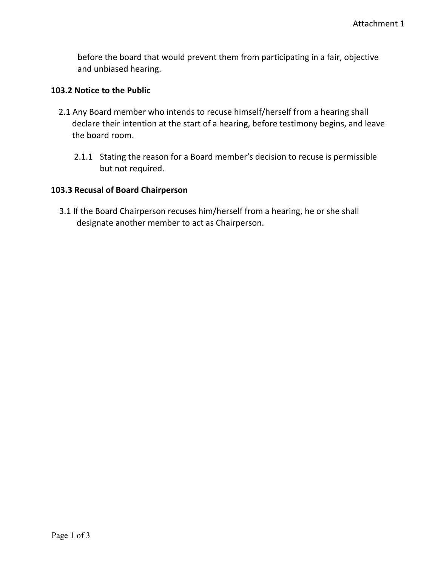before the board that would prevent them from participating in a fair, objective and unbiased hearing.

#### **103.2 Notice to the Public**

- 2.1 Any Board member who intends to recuse himself/herself from a hearing shall declare their intention at the start of a hearing, before testimony begins, and leave the board room.
	- 2.1.1 Stating the reason for a Board member's decision to recuse is permissible but not required.

#### **103.3 Recusal of Board Chairperson**

3.1 If the Board Chairperson recuses him/herself from a hearing, he or she shall designate another member to act as Chairperson.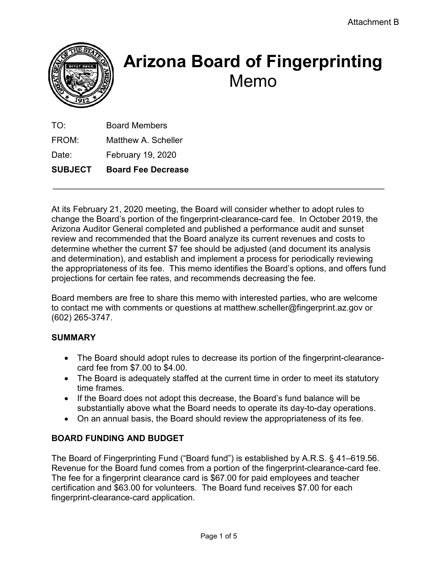

# **Arizona Board of Fingerprinting** Memo

| <b>SUBJECT</b> | <b>Board Fee Decrease</b> |
|----------------|---------------------------|
| Date:          | February 19, 2020         |
| FROM:          | Matthew A. Scheller       |
| TO:            | <b>Board Members</b>      |

At its February 21, 2020 meeting, the Board will consider whether to adopt rules to change the Board's portion of the fingerprint-clearance-card fee. In October 2019, the Arizona Auditor General completed and published a performance audit and sunset review and recommended that the Board analyze its current revenues and costs to determine whether the current \$7 fee should be adjusted (and document its analysis and determination), and establish and implement a process for periodically reviewing the appropriateness of its fee. This memo identifies the Board's options, and offers fund projections for certain fee rates, and recommends decreasing the fee.

 $\_$  , and the contribution of the contribution of  $\mathcal{L}_\mathcal{A}$  , and the contribution of  $\mathcal{L}_\mathcal{A}$ 

Board members are free to share this memo with interested parties, who are welcome to contact me with comments or questions at matthew.scheller@fingerprint.az.gov or (602) 265-3747.

#### **SUMMARY**

- The Board should adopt rules to decrease its portion of the fingerprint-clearancecard fee from \$7.00 to \$4.00.
- The Board is adequately staffed at the current time in order to meet its statutory time frames.
- If the Board does not adopt this decrease, the Board's fund balance will be substantially above what the Board needs to operate its day-to-day operations.
- On an annual basis, the Board should review the appropriateness of its fee.

#### **BOARD FUNDING AND BUDGET**

The Board of Fingerprinting Fund ("Board fund") is established by A.R.S. § 41–619.56. Revenue for the Board fund comes from a portion of the fingerprint-clearance-card fee. The fee for a fingerprint clearance card is \$67.00 for paid employees and teacher certification and \$63.00 for volunteers. The Board fund receives \$7.00 for each fingerprint-clearance-card application.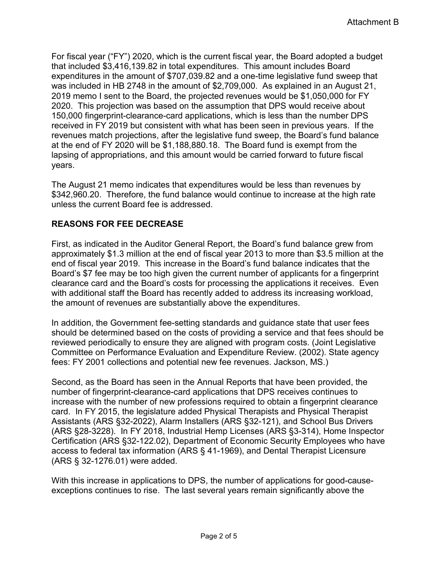For fiscal year ("FY") 2020, which is the current fiscal year, the Board adopted a budget that included \$3,416,139.82 in total expenditures. This amount includes Board expenditures in the amount of \$707,039.82 and a one-time legislative fund sweep that was included in HB 2748 in the amount of \$2,709,000. As explained in an August 21, 2019 memo I sent to the Board, the projected revenues would be \$1,050,000 for FY 2020. This projection was based on the assumption that DPS would receive about 150,000 fingerprint-clearance-card applications, which is less than the number DPS received in FY 2019 but consistent with what has been seen in previous years. If the revenues match projections, after the legislative fund sweep, the Board's fund balance at the end of FY 2020 will be \$1,188,880.18. The Board fund is exempt from the lapsing of appropriations, and this amount would be carried forward to future fiscal years.

The August 21 memo indicates that expenditures would be less than revenues by \$342,960.20. Therefore, the fund balance would continue to increase at the high rate unless the current Board fee is addressed.

#### **REASONS FOR FEE DECREASE**

First, as indicated in the Auditor General Report, the Board's fund balance grew from approximately \$1.3 million at the end of fiscal year 2013 to more than \$3.5 million at the end of fiscal year 2019. This increase in the Board's fund balance indicates that the Board's \$7 fee may be too high given the current number of applicants for a fingerprint clearance card and the Board's costs for processing the applications it receives. Even with additional staff the Board has recently added to address its increasing workload, the amount of revenues are substantially above the expenditures.

In addition, the Government fee-setting standards and guidance state that user fees should be determined based on the costs of providing a service and that fees should be reviewed periodically to ensure they are aligned with program costs. (Joint Legislative Committee on Performance Evaluation and Expenditure Review. (2002). State agency fees: FY 2001 collections and potential new fee revenues. Jackson, MS.)

Second, as the Board has seen in the Annual Reports that have been provided, the number of fingerprint-clearance-card applications that DPS receives continues to increase with the number of new professions required to obtain a fingerprint clearance card. In FY 2015, the legislature added Physical Therapists and Physical Therapist Assistants (ARS §32-2022), Alarm Installers (ARS §32-121), and School Bus Drivers (ARS §28-3228). In FY 2018, Industrial Hemp Licenses (ARS §3-314), Home Inspector Certification (ARS §32-122.02), Department of Economic Security Employees who have access to federal tax information (ARS § 41-1969), and Dental Therapist Licensure (ARS § 32-1276.01) were added.

With this increase in applications to DPS, the number of applications for good-causeexceptions continues to rise. The last several years remain significantly above the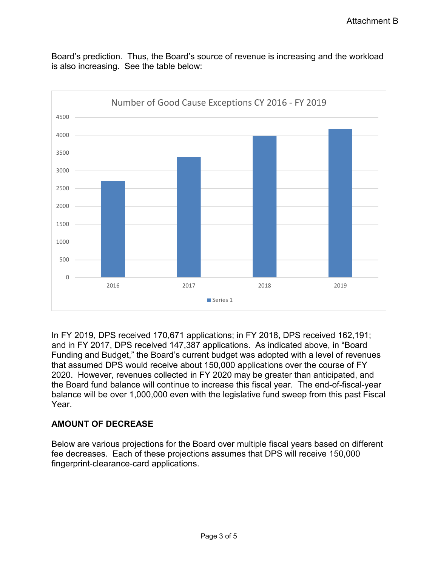Board's prediction. Thus, the Board's source of revenue is increasing and the workload is also increasing. See the table below:



In FY 2019, DPS received 170,671 applications; in FY 2018, DPS received 162,191; and in FY 2017, DPS received 147,387 applications. As indicated above, in "Board Funding and Budget," the Board's current budget was adopted with a level of revenues that assumed DPS would receive about 150,000 applications over the course of FY 2020. However, revenues collected in FY 2020 may be greater than anticipated, and the Board fund balance will continue to increase this fiscal year. The end-of-fiscal-year balance will be over 1,000,000 even with the legislative fund sweep from this past Fiscal Year.

#### **AMOUNT OF DECREASE**

Below are various projections for the Board over multiple fiscal years based on different fee decreases. Each of these projections assumes that DPS will receive 150,000 fingerprint-clearance-card applications.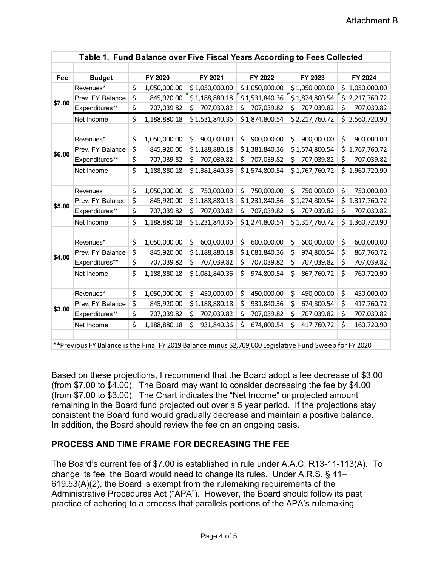| <b>Budget</b><br>FY 2020<br>FY 2021<br>FY 2022<br>FY 2023<br>FY 2024<br>Fee<br>\$<br>Revenues*<br>1,050,000.00<br>\$1,050,000.00<br>\$1,050,000.00<br>\$1,050,000.00<br>\$1,050,000.00<br>\$<br>845,920.00<br>\$1,188,880.18<br>\$1,531,840.36<br>\$1,874,800.54<br>\$<br>2,217,760.72<br>Prev. FY Balance<br>\$7.00<br>\$<br>Expenditures**<br>\$<br>707,039.82<br>707,039.82<br>\$<br>707,039.82<br>\$<br>707,039.82<br>707,039.82<br>Ś.<br>\$<br>\$2,560,720.90<br>Net Income<br>1,188,880.18<br>\$1,531,840.36<br>\$1,874,800.54<br>\$2,217,760.72<br>\$<br>\$<br>1,050,000.00<br>\$<br>900,000.00<br>\$<br>900,000.00<br>\$<br>900,000.00<br>Revenues*<br>900,000.00<br>\$<br>845,920.00<br>\$1,188,880.18<br>\$1,381,840.36<br>\$1,574,800.54<br>\$<br>1,767,760.72<br>Prev. FY Balance<br>\$6.00 |  |
|---------------------------------------------------------------------------------------------------------------------------------------------------------------------------------------------------------------------------------------------------------------------------------------------------------------------------------------------------------------------------------------------------------------------------------------------------------------------------------------------------------------------------------------------------------------------------------------------------------------------------------------------------------------------------------------------------------------------------------------------------------------------------------------------------------|--|
|                                                                                                                                                                                                                                                                                                                                                                                                                                                                                                                                                                                                                                                                                                                                                                                                         |  |
|                                                                                                                                                                                                                                                                                                                                                                                                                                                                                                                                                                                                                                                                                                                                                                                                         |  |
|                                                                                                                                                                                                                                                                                                                                                                                                                                                                                                                                                                                                                                                                                                                                                                                                         |  |
|                                                                                                                                                                                                                                                                                                                                                                                                                                                                                                                                                                                                                                                                                                                                                                                                         |  |
|                                                                                                                                                                                                                                                                                                                                                                                                                                                                                                                                                                                                                                                                                                                                                                                                         |  |
|                                                                                                                                                                                                                                                                                                                                                                                                                                                                                                                                                                                                                                                                                                                                                                                                         |  |
|                                                                                                                                                                                                                                                                                                                                                                                                                                                                                                                                                                                                                                                                                                                                                                                                         |  |
|                                                                                                                                                                                                                                                                                                                                                                                                                                                                                                                                                                                                                                                                                                                                                                                                         |  |
|                                                                                                                                                                                                                                                                                                                                                                                                                                                                                                                                                                                                                                                                                                                                                                                                         |  |
| \$<br>\$<br>Expenditures**<br>707,039.82<br>\$<br>\$<br>707,039.82<br>\$<br>707,039.82<br>707,039.82<br>707,039.82                                                                                                                                                                                                                                                                                                                                                                                                                                                                                                                                                                                                                                                                                      |  |
| \$<br>\$1,960,720.90<br>1,188,880.18<br>\$1,381,840.36<br>\$1,574,800.54<br>\$1,767,760.72<br>Net Income                                                                                                                                                                                                                                                                                                                                                                                                                                                                                                                                                                                                                                                                                                |  |
|                                                                                                                                                                                                                                                                                                                                                                                                                                                                                                                                                                                                                                                                                                                                                                                                         |  |
| \$<br>\$<br>\$<br>\$<br>1,050,000.00<br>750,000.00<br>\$<br>750,000.00<br>750,000.00<br>750,000.00<br>Revenues                                                                                                                                                                                                                                                                                                                                                                                                                                                                                                                                                                                                                                                                                          |  |
| \$<br>\$<br>1,317,760.72<br>845,920.00<br>\$1,188,880.18<br>\$1,231,840.36<br>\$1,274,800.54<br>Prev. FY Balance<br>\$5.00                                                                                                                                                                                                                                                                                                                                                                                                                                                                                                                                                                                                                                                                              |  |
| \$<br>\$<br>Expenditures**<br>707,039.82<br>707,039.82<br>\$<br>707,039.82<br>707,039.82<br>707,039.82<br>\$.<br>\$                                                                                                                                                                                                                                                                                                                                                                                                                                                                                                                                                                                                                                                                                     |  |
| \$<br>Net Income<br>1,188,880.18<br>\$1,231,840.36<br>\$1,274,800.54<br>\$1,317,760.72<br>\$1,360,720.90                                                                                                                                                                                                                                                                                                                                                                                                                                                                                                                                                                                                                                                                                                |  |
|                                                                                                                                                                                                                                                                                                                                                                                                                                                                                                                                                                                                                                                                                                                                                                                                         |  |
| \$<br>\$<br>1,050,000.00<br>600,000.00<br>\$<br>600,000.00<br>\$<br>600,000.00<br>600,000.00<br>Revenues*<br>\$                                                                                                                                                                                                                                                                                                                                                                                                                                                                                                                                                                                                                                                                                         |  |
| \$<br>\$<br>\$<br>845,920.00<br>\$1,188,880.18<br>\$1,081,840.36<br>974,800.54<br>Prev. FY Balance<br>867,760.72<br>\$4.00                                                                                                                                                                                                                                                                                                                                                                                                                                                                                                                                                                                                                                                                              |  |
| \$<br>\$<br>Expenditures**<br>\$<br>\$<br>707,039.82<br>Ś.<br>707,039.82<br>707,039.82<br>707,039.82<br>707,039.82                                                                                                                                                                                                                                                                                                                                                                                                                                                                                                                                                                                                                                                                                      |  |
| \$<br>\$<br>\$<br>1,188,880.18<br>\$1,081,840.36<br>974,800.54<br>\$<br>867,760.72<br>760,720.90<br>Net Income                                                                                                                                                                                                                                                                                                                                                                                                                                                                                                                                                                                                                                                                                          |  |
|                                                                                                                                                                                                                                                                                                                                                                                                                                                                                                                                                                                                                                                                                                                                                                                                         |  |
| \$<br>\$<br>Revenues*<br>\$<br>450,000.00<br>\$<br>450,000.00<br>\$<br>450,000.00<br>1,050,000.00<br>450,000.00                                                                                                                                                                                                                                                                                                                                                                                                                                                                                                                                                                                                                                                                                         |  |
| \$<br>\$<br>\$<br>\$<br>845,920.00<br>\$1,188,880.18<br>931,840.36<br>674,800.54<br>417,760.72<br>Prev. FY Balance<br>\$3.00                                                                                                                                                                                                                                                                                                                                                                                                                                                                                                                                                                                                                                                                            |  |
| \$<br>\$<br>\$<br>\$<br>Expenditures**<br>707,039.82<br>\$<br>707,039.82<br>707,039.82<br>707,039.82<br>707,039.82                                                                                                                                                                                                                                                                                                                                                                                                                                                                                                                                                                                                                                                                                      |  |
| \$<br>\$<br>\$<br>\$<br>1,188,880.18<br>\$<br>931,840.36<br>674,800.54<br>417,760.72<br>160,720.90<br>Net Income                                                                                                                                                                                                                                                                                                                                                                                                                                                                                                                                                                                                                                                                                        |  |
|                                                                                                                                                                                                                                                                                                                                                                                                                                                                                                                                                                                                                                                                                                                                                                                                         |  |

\*\*Previous FY Balance is the Final FY 2019 Balance minus \$2,709,000 Legislative Fund Sweep for FY 2020

Based on these projections, I recommend that the Board adopt a fee decrease of \$3.00 (from \$7.00 to \$4.00). The Board may want to consider decreasing the fee by \$4.00 (from \$7.00 to \$3.00). The Chart indicates the "Net Income" or projected amount remaining in the Board fund projected out over a 5 year period. If the projections stay consistent the Board fund would gradually decrease and maintain a positive balance. In addition, the Board should review the fee on an ongoing basis.

#### **PROCESS AND TIME FRAME FOR DECREASING THE FEE**

The Board's current fee of \$7.00 is established in rule under A.A.C. R13-11-113(A). To change its fee, the Board would need to change its rules. Under A.R.S. § 41– 619.53(A)(2), the Board is exempt from the rulemaking requirements of the Administrative Procedures Act ("APA"). However, the Board should follow its past practice of adhering to a process that parallels portions of the APA's rulemaking